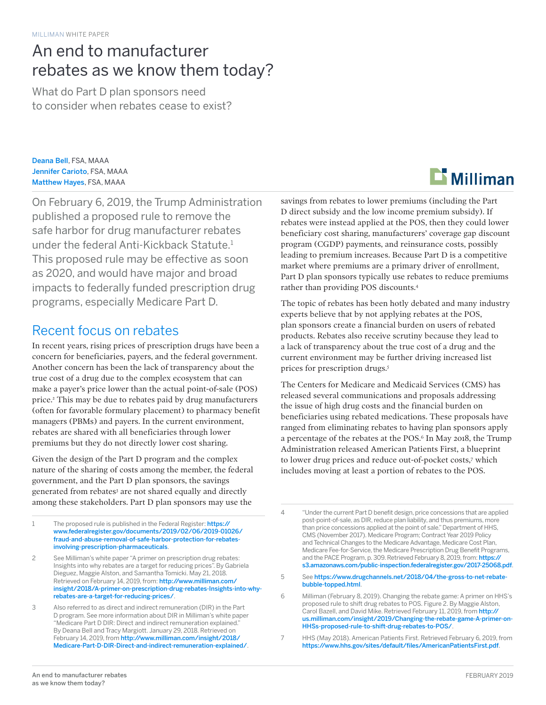## An end to manufacturer rebates as we know them today?

What do Part D plan sponsors need to consider when rebates cease to exist?

Deana Bell, FSA, MAAA Jennifer Carioto, FSA, MAAA Matthew Hayes, FSA, MAAA

On February 6, 2019, the Trump Administration published a proposed rule to remove the safe harbor for drug manufacturer rebates under the federal Anti-Kickback Statute.<sup>1</sup> This proposed rule may be effective as soon as 2020, and would have major and broad impacts to federally funded prescription drug programs, especially Medicare Part D.

### Recent focus on rebates

In recent years, rising prices of prescription drugs have been a concern for beneficiaries, payers, and the federal government. Another concern has been the lack of transparency about the true cost of a drug due to the complex ecosystem that can make a payer's price lower than the actual point-of-sale (POS) price.2 This may be due to rebates paid by drug manufacturers (often for favorable formulary placement) to pharmacy benefit managers (PBMs) and payers. In the current environment, rebates are shared with all beneficiaries through lower premiums but they do not directly lower cost sharing.

Given the design of the Part D program and the complex nature of the sharing of costs among the member, the federal government, and the Part D plan sponsors, the savings generated from rebates<sup>3</sup> are not shared equally and directly among these stakeholders. Part D plan sponsors may use the

1 The proposed rule is published in the Federal Register: [https://](https://www.federalregister.gov/documents/2019/02/06/2019-01026/fraud-and-abuse-removal-of-safe-harbor-protection-for-rebates-involving-prescription-pharmaceuticals) [www.federalregister.gov/documents/2019/02/06/2019-01026/](https://www.federalregister.gov/documents/2019/02/06/2019-01026/fraud-and-abuse-removal-of-safe-harbor-protection-for-rebates-involving-prescription-pharmaceuticals) [fraud-and-abuse-removal-of-safe-harbor-protection-for-rebates](https://www.federalregister.gov/documents/2019/02/06/2019-01026/fraud-and-abuse-removal-of-safe-harbor-protection-for-rebates-involving-prescription-pharmaceuticals)[involving-prescription-pharmaceuticals](https://www.federalregister.gov/documents/2019/02/06/2019-01026/fraud-and-abuse-removal-of-safe-harbor-protection-for-rebates-involving-prescription-pharmaceuticals).

2 See Milliman's white paper "A primer on prescription drug rebates: Insights into why rebates are a target for reducing prices". By Gabriela Dieguez, Maggie Alston, and Samantha Tomicki. May 21, 2018. Retrieved on February 14, 2019, from: [http://www.milliman.com/](http://www.milliman.com/insight/2018/A-primer-on-prescription-drug-rebates-Insights-into-why-rebates-are-a-target-for-reducing-prices/) [insight/2018/A-primer-on-prescription-drug-rebates-Insights-into-why](http://www.milliman.com/insight/2018/A-primer-on-prescription-drug-rebates-Insights-into-why-rebates-are-a-target-for-reducing-prices/)[rebates-are-a-target-for-reducing-prices/](http://www.milliman.com/insight/2018/A-primer-on-prescription-drug-rebates-Insights-into-why-rebates-are-a-target-for-reducing-prices/).

3 Also referred to as direct and indirect remuneration (DIR) in the Part D program. See more information about DIR in Milliman's white paper "Medicare Part D DIR: Direct and indirect remuneration explained." By Deana Bell and Tracy Margiott. January 29, 2018. Retrieved on February 14, 2019, from [http://www.milliman.com/insight/2018/](http://www.milliman.com/insight/2018/Medicare-Part-D-DIR-Direct-and-indirect-remuneration-explained/) [Medicare-Part-D-DIR-Direct-and-indirect-remuneration-explained/](http://www.milliman.com/insight/2018/Medicare-Part-D-DIR-Direct-and-indirect-remuneration-explained/).



savings from rebates to lower premiums (including the Part D direct subsidy and the low income premium subsidy). If rebates were instead applied at the POS, then they could lower beneficiary cost sharing, manufacturers' coverage gap discount program (CGDP) payments, and reinsurance costs, possibly leading to premium increases. Because Part D is a competitive market where premiums are a primary driver of enrollment, Part D plan sponsors typically use rebates to reduce premiums rather than providing POS discounts.4

The topic of rebates has been hotly debated and many industry experts believe that by not applying rebates at the POS, plan sponsors create a financial burden on users of rebated products. Rebates also receive scrutiny because they lead to a lack of transparency about the true cost of a drug and the current environment may be further driving increased list prices for prescription drugs.5

The Centers for Medicare and Medicaid Services (CMS) has released several communications and proposals addressing the issue of high drug costs and the financial burden on beneficiaries using rebated medications. These proposals have ranged from eliminating rebates to having plan sponsors apply a percentage of the rebates at the POS.6 In May 2018, the Trump Administration released American Patients First, a blueprint to lower drug prices and reduce out-of-pocket costs,7 which includes moving at least a portion of rebates to the POS.

4 "Under the current Part D benefit design, price concessions that are applied post-point-of-sale, as DIR, reduce plan liability, and thus premiums, more than price concessions applied at the point of sale." Department of HHS, CMS (November 2017). Medicare Program; Contract Year 2019 Policy and Technical Changes to the Medicare Advantage, Medicare Cost Plan, Medicare Fee-for-Service, the Medicare Prescription Drug Benefit Programs, and the PACE Program, p. 309. Retrieved February 8, 2019, from: [https://](https://s3.amazonaws.com/public-inspection.federalregister.gov/2017-25068.pdf) [s3.amazonaws.com/public-inspection.federalregister.gov/2017-25068.pdf](https://s3.amazonaws.com/public-inspection.federalregister.gov/2017-25068.pdf).

5 See [https://www.drugchannels.net/2018/04/the-gross-to-net-rebate](https://www.drugchannels.net/2018/04/the-gross-to-net-rebate-bubble-topped.html)[bubble-topped.html](https://www.drugchannels.net/2018/04/the-gross-to-net-rebate-bubble-topped.html).

7 HHS (May 2018). American Patients First. Retrieved February 6, 2019, from <https://www.hhs.gov/sites/default/files/AmericanPatientsFirst.pdf>.

<sup>6</sup> Milliman (February 8, 2019). Changing the rebate game: A primer on HHS's proposed rule to shift drug rebates to POS. Figure 2. By Maggie Alston, Carol Bazell, and David Mike. Retrieved February 11, 2019, from [http://](http://us.milliman.com/insight/2019/Changing-the-rebate-game-A-primer-on-HHSs-proposed-rule-to-shift-drug-rebates-to-POS/) [us.milliman.com/insight/2019/Changing-the-rebate-game-A-primer-on-](http://us.milliman.com/insight/2019/Changing-the-rebate-game-A-primer-on-HHSs-proposed-rule-to-shift-drug-rebates-to-POS/)[HHSs-proposed-rule-to-shift-drug-rebates-to-POS/](http://us.milliman.com/insight/2019/Changing-the-rebate-game-A-primer-on-HHSs-proposed-rule-to-shift-drug-rebates-to-POS/).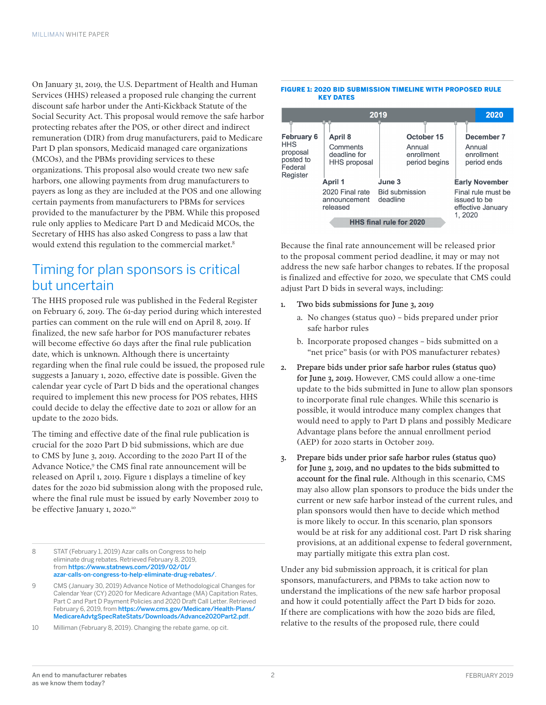On January 31, 2019, the U.S. Department of Health and Human Services (HHS) released a proposed rule changing the current discount safe harbor under the Anti-Kickback Statute of the Social Security Act. This proposal would remove the safe harbor protecting rebates after the POS, or other direct and indirect remuneration (DIR) from drug manufacturers, paid to Medicare Part D plan sponsors, Medicaid managed care organizations (MCOs), and the PBMs providing services to these organizations. This proposal also would create two new safe harbors, one allowing payments from drug manufacturers to payers as long as they are included at the POS and one allowing certain payments from manufacturers to PBMs for services provided to the manufacturer by the PBM. While this proposed rule only applies to Medicare Part D and Medicaid MCOs, the Secretary of HHS has also asked Congress to pass a law that would extend this regulation to the commercial market.<sup>8</sup>

### Timing for plan sponsors is critical but uncertain

The HHS proposed rule was published in the Federal Register on February 6, 2019. The 61-day period during which interested parties can comment on the rule will end on April 8, 2019. If finalized, the new safe harbor for POS manufacturer rebates will become effective 60 days after the final rule publication date, which is unknown. Although there is uncertainty regarding when the final rule could be issued, the proposed rule suggests a January 1, 2020, effective date is possible. Given the calendar year cycle of Part D bids and the operational changes required to implement this new process for POS rebates, HHS could decide to delay the effective date to 2021 or allow for an update to the 2020 bids.

The timing and effective date of the final rule publication is crucial for the 2020 Part D bid submissions, which are due to CMS by June 3, 2019. According to the 2020 Part II of the Advance Notice,<sup>9</sup> the CMS final rate announcement will be released on April 1, 2019. Figure 1 displays a timeline of key dates for the 2020 bid submission along with the proposed rule, where the final rule must be issued by early November 2019 to be effective January 1, 2020.<sup>10</sup>

- 8 STAT (February 1, 2019) Azar calls on Congress to help eliminate drug rebates. Retrieved February 8, 2019, from [https://www.statnews.com/2019/02/01/](https://www.statnews.com/2019/02/01/azar-calls-on-congress-to-help-eliminate-drug-rebates/) [azar-calls-on-congress-to-help-eliminate-drug-rebates/](https://www.statnews.com/2019/02/01/azar-calls-on-congress-to-help-eliminate-drug-rebates/).
- 9 CMS (January 30, 2019) Advance Notice of Methodological Changes for Calendar Year (CY) 2020 for Medicare Advantage (MA) Capitation Rates, Part C and Part D Payment Policies and 2020 Draft Call Letter. Retrieved February 6, 2019, from [https://www.cms.gov/Medicare/Health-Plans/](https://www.cms.gov/Medicare/Health-Plans/MedicareAdvtgSpecRateStats/Downloads/Advance2020Part2.pdf) [MedicareAdvtgSpecRateStats/Downloads/Advance2020Part2.pdf](https://www.cms.gov/Medicare/Health-Plans/MedicareAdvtgSpecRateStats/Downloads/Advance2020Part2.pdf).

10 Milliman (February 8, 2019). Changing the rebate game, op cit.

#### FIGURE 1: 2020 BID SUBMISSION TIMELINE WITH PROPOSED RULE KEY DATES

| 2019                                                                            |                                                            |                                                     | 2020                                                               |
|---------------------------------------------------------------------------------|------------------------------------------------------------|-----------------------------------------------------|--------------------------------------------------------------------|
| <b>February 6</b><br><b>HHS</b><br>proposal<br>posted to<br>Federal<br>Register | April 8<br>Comments<br>deadline for<br><b>HHS proposal</b> | October 15<br>Annual<br>enrollment<br>period begins | December 7<br>Annual<br>enrollment<br>period ends                  |
|                                                                                 | April 1                                                    | June 3                                              | <b>Early November</b>                                              |
|                                                                                 | 2020 Final rate<br>announcement<br>released                | <b>Bid submission</b><br>deadline                   | Final rule must be<br>issued to be<br>effective January<br>1, 2020 |
| HHS final rule for 2020                                                         |                                                            |                                                     |                                                                    |

Because the final rate announcement will be released prior to the proposal comment period deadline, it may or may not address the new safe harbor changes to rebates. If the proposal is finalized and effective for 2020, we speculate that CMS could adjust Part D bids in several ways, including:

- 1. Two bids submissions for June 3, 2019
	- a. No changes (status quo) bids prepared under prior safe harbor rules
	- b. Incorporate proposed changes bids submitted on a "net price" basis (or with POS manufacturer rebates)
- 2. Prepare bids under prior safe harbor rules (status quo) for June 3, 2019. However, CMS could allow a one-time update to the bids submitted in June to allow plan sponsors to incorporate final rule changes. While this scenario is possible, it would introduce many complex changes that would need to apply to Part D plans and possibly Medicare Advantage plans before the annual enrollment period (AEP) for 2020 starts in October 2019.
- 3. Prepare bids under prior safe harbor rules (status quo) for June 3, 2019, and no updates to the bids submitted to account for the final rule. Although in this scenario, CMS may also allow plan sponsors to produce the bids under the current or new safe harbor instead of the current rules, and plan sponsors would then have to decide which method is more likely to occur. In this scenario, plan sponsors would be at risk for any additional cost. Part D risk sharing provisions, at an additional expense to federal government, may partially mitigate this extra plan cost.

Under any bid submission approach, it is critical for plan sponsors, manufacturers, and PBMs to take action now to understand the implications of the new safe harbor proposal and how it could potentially affect the Part D bids for 2020. If there are complications with how the 2020 bids are filed, relative to the results of the proposed rule, there could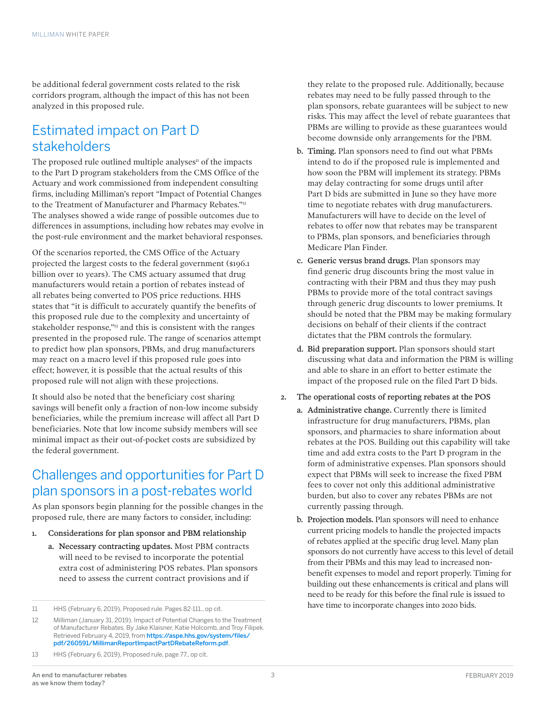be additional federal government costs related to the risk corridors program, although the impact of this has not been analyzed in this proposed rule.

### Estimated impact on Part D stakeholders

The proposed rule outlined multiple analyses $\mu$  of the impacts to the Part D program stakeholders from the CMS Office of the Actuary and work commissioned from independent consulting firms, including Milliman's report "Impact of Potential Changes to the Treatment of Manufacturer and Pharmacy Rebates."<sup>12</sup> The analyses showed a wide range of possible outcomes due to differences in assumptions, including how rebates may evolve in the post-rule environment and the market behavioral responses.

Of the scenarios reported, the CMS Office of the Actuary projected the largest costs to the federal government (\$196.1 billion over 10 years). The CMS actuary assumed that drug manufacturers would retain a portion of rebates instead of all rebates being converted to POS price reductions. HHS states that "it is difficult to accurately quantify the benefits of this proposed rule due to the complexity and uncertainty of stakeholder response,"<sup>13</sup> and this is consistent with the ranges presented in the proposed rule. The range of scenarios attempt to predict how plan sponsors, PBMs, and drug manufacturers may react on a macro level if this proposed rule goes into effect; however, it is possible that the actual results of this proposed rule will not align with these projections.

It should also be noted that the beneficiary cost sharing savings will benefit only a fraction of non-low income subsidy beneficiaries, while the premium increase will affect all Part D beneficiaries. Note that low income subsidy members will see minimal impact as their out-of-pocket costs are subsidized by the federal government.

### Challenges and opportunities for Part D plan sponsors in a post-rebates world

As plan sponsors begin planning for the possible changes in the proposed rule, there are many factors to consider, including:

- Considerations for plan sponsor and PBM relationship
	- a. Necessary contracting updates. Most PBM contracts will need to be revised to incorporate the potential extra cost of administering POS rebates. Plan sponsors need to assess the current contract provisions and if

13 HHS (February 6, 2019), Proposed rule, page 77., op cit.

they relate to the proposed rule. Additionally, because rebates may need to be fully passed through to the plan sponsors, rebate guarantees will be subject to new risks. This may affect the level of rebate guarantees that PBMs are willing to provide as these guarantees would become downside only arrangements for the PBM.

- b. Timing. Plan sponsors need to find out what PBMs intend to do if the proposed rule is implemented and how soon the PBM will implement its strategy. PBMs may delay contracting for some drugs until after Part D bids are submitted in June so they have more time to negotiate rebates with drug manufacturers. Manufacturers will have to decide on the level of rebates to offer now that rebates may be transparent to PBMs, plan sponsors, and beneficiaries through Medicare Plan Finder.
- c. Generic versus brand drugs. Plan sponsors may find generic drug discounts bring the most value in contracting with their PBM and thus they may push PBMs to provide more of the total contract savings through generic drug discounts to lower premiums. It should be noted that the PBM may be making formulary decisions on behalf of their clients if the contract dictates that the PBM controls the formulary.
- d. Bid preparation support. Plan sponsors should start discussing what data and information the PBM is willing and able to share in an effort to better estimate the impact of the proposed rule on the filed Part D bids.
- 2. The operational costs of reporting rebates at the POS
	- a. Administrative change. Currently there is limited infrastructure for drug manufacturers, PBMs, plan sponsors, and pharmacies to share information about rebates at the POS. Building out this capability will take time and add extra costs to the Part D program in the form of administrative expenses. Plan sponsors should expect that PBMs will seek to increase the fixed PBM fees to cover not only this additional administrative burden, but also to cover any rebates PBMs are not currently passing through.
	- b. Projection models. Plan sponsors will need to enhance current pricing models to handle the projected impacts of rebates applied at the specific drug level. Many plan sponsors do not currently have access to this level of detail from their PBMs and this may lead to increased nonbenefit expenses to model and report properly. Timing for building out these enhancements is critical and plans will need to be ready for this before the final rule is issued to have time to incorporate changes into 2020 bids.

<sup>11</sup> HHS (February 6, 2019), Proposed rule. Pages 82-111., op cit.

<sup>12</sup> Milliman (January 31, 2019). Impact of Potential Changes to the Treatment of Manufacturer Rebates. By Jake Klaisner, Katie Holcomb, and Troy Filipek. Retrieved February 4, 2019, from [https://aspe.hhs.gov/system/files/](https://aspe.hhs.gov/system/files/pdf/260591/MillimanReportImpactPartDRebateReform.pdf) [pdf/260591/MillimanReportImpactPartDRebateReform.pdf](https://aspe.hhs.gov/system/files/pdf/260591/MillimanReportImpactPartDRebateReform.pdf).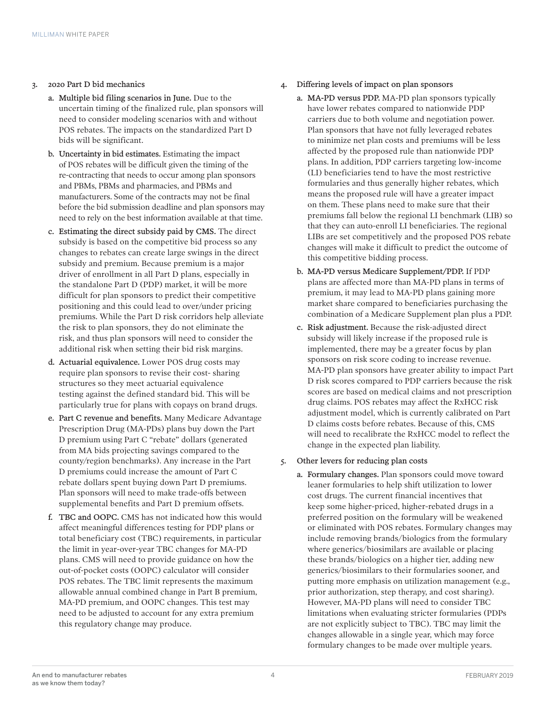#### 3. 2020 Part D bid mechanics

- a. Multiple bid filing scenarios in June. Due to the uncertain timing of the finalized rule, plan sponsors will need to consider modeling scenarios with and without POS rebates. The impacts on the standardized Part D bids will be significant.
- b. Uncertainty in bid estimates. Estimating the impact of POS rebates will be difficult given the timing of the re-contracting that needs to occur among plan sponsors and PBMs, PBMs and pharmacies, and PBMs and manufacturers. Some of the contracts may not be final before the bid submission deadline and plan sponsors may need to rely on the best information available at that time.
- c. Estimating the direct subsidy paid by CMS. The direct subsidy is based on the competitive bid process so any changes to rebates can create large swings in the direct subsidy and premium. Because premium is a major driver of enrollment in all Part D plans, especially in the standalone Part D (PDP) market, it will be more difficult for plan sponsors to predict their competitive positioning and this could lead to over/under pricing premiums. While the Part D risk corridors help alleviate the risk to plan sponsors, they do not eliminate the risk, and thus plan sponsors will need to consider the additional risk when setting their bid risk margins.
- d. Actuarial equivalence. Lower POS drug costs may require plan sponsors to revise their cost- sharing structures so they meet actuarial equivalence testing against the defined standard bid. This will be particularly true for plans with copays on brand drugs.
- e. Part C revenue and benefits. Many Medicare Advantage Prescription Drug (MA-PDs) plans buy down the Part D premium using Part C "rebate" dollars (generated from MA bids projecting savings compared to the county/region benchmarks). Any increase in the Part D premiums could increase the amount of Part C rebate dollars spent buying down Part D premiums. Plan sponsors will need to make trade-offs between supplemental benefits and Part D premium offsets.
- f. TBC and OOPC. CMS has not indicated how this would affect meaningful differences testing for PDP plans or total beneficiary cost (TBC) requirements, in particular the limit in year-over-year TBC changes for MA-PD plans. CMS will need to provide guidance on how the out-of-pocket costs (OOPC) calculator will consider POS rebates. The TBC limit represents the maximum allowable annual combined change in Part B premium, MA-PD premium, and OOPC changes. This test may need to be adjusted to account for any extra premium this regulatory change may produce.
- 4. Differing levels of impact on plan sponsors
	- a. MA-PD versus PDP. MA-PD plan sponsors typically have lower rebates compared to nationwide PDP carriers due to both volume and negotiation power. Plan sponsors that have not fully leveraged rebates to minimize net plan costs and premiums will be less affected by the proposed rule than nationwide PDP plans. In addition, PDP carriers targeting low-income (LI) beneficiaries tend to have the most restrictive formularies and thus generally higher rebates, which means the proposed rule will have a greater impact on them. These plans need to make sure that their premiums fall below the regional LI benchmark (LIB) so that they can auto-enroll LI beneficiaries. The regional LIBs are set competitively and the proposed POS rebate changes will make it difficult to predict the outcome of this competitive bidding process.
	- b. MA-PD versus Medicare Supplement/PDP. If PDP plans are affected more than MA-PD plans in terms of premium, it may lead to MA-PD plans gaining more market share compared to beneficiaries purchasing the combination of a Medicare Supplement plan plus a PDP.
	- c. Risk adjustment. Because the risk-adjusted direct subsidy will likely increase if the proposed rule is implemented, there may be a greater focus by plan sponsors on risk score coding to increase revenue. MA-PD plan sponsors have greater ability to impact Part D risk scores compared to PDP carriers because the risk scores are based on medical claims and not prescription drug claims. POS rebates may affect the RxHCC risk adjustment model, which is currently calibrated on Part D claims costs before rebates. Because of this, CMS will need to recalibrate the RxHCC model to reflect the change in the expected plan liability.

#### 5. Other levers for reducing plan costs

a. Formulary changes. Plan sponsors could move toward leaner formularies to help shift utilization to lower cost drugs. The current financial incentives that keep some higher-priced, higher-rebated drugs in a preferred position on the formulary will be weakened or eliminated with POS rebates. Formulary changes may include removing brands/biologics from the formulary where generics/biosimilars are available or placing these brands/biologics on a higher tier, adding new generics/biosimilars to their formularies sooner, and putting more emphasis on utilization management (e.g., prior authorization, step therapy, and cost sharing). However, MA-PD plans will need to consider TBC limitations when evaluating stricter formularies (PDPs are not explicitly subject to TBC). TBC may limit the changes allowable in a single year, which may force formulary changes to be made over multiple years.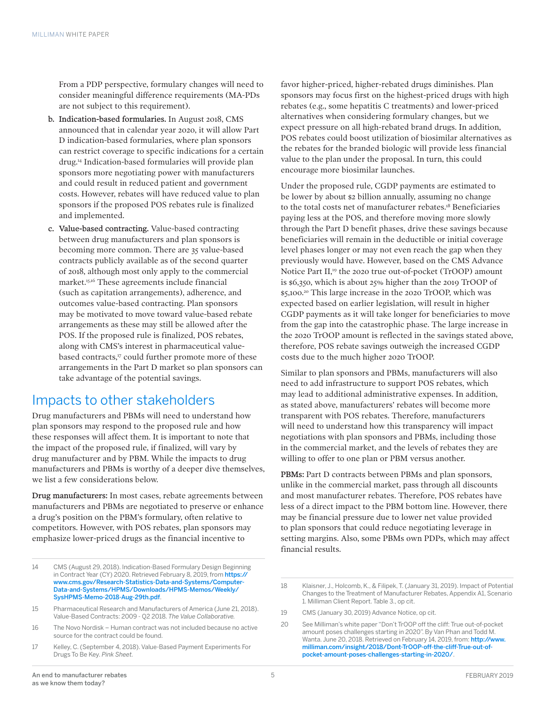From a PDP perspective, formulary changes will need to consider meaningful difference requirements (MA-PDs are not subject to this requirement).

- b. Indication-based formularies. In August 2018, CMS announced that in calendar year 2020, it will allow Part D indication-based formularies, where plan sponsors can restrict coverage to specific indications for a certain drug.14 Indication-based formularies will provide plan sponsors more negotiating power with manufacturers and could result in reduced patient and government costs. However, rebates will have reduced value to plan sponsors if the proposed POS rebates rule is finalized and implemented.
- c. Value-based contracting. Value-based contracting between drug manufacturers and plan sponsors is becoming more common. There are 35 value-based contracts publicly available as of the second quarter of 2018, although most only apply to the commercial market.15,16 These agreements include financial (such as capitation arrangements), adherence, and outcomes value-based contracting. Plan sponsors may be motivated to move toward value-based rebate arrangements as these may still be allowed after the POS. If the proposed rule is finalized, POS rebates, along with CMS's interest in pharmaceutical valuebased contracts,<sup>17</sup> could further promote more of these arrangements in the Part D market so plan sponsors can take advantage of the potential savings.

### Impacts to other stakeholders

Drug manufacturers and PBMs will need to understand how plan sponsors may respond to the proposed rule and how these responses will affect them. It is important to note that the impact of the proposed rule, if finalized, will vary by drug manufacturer and by PBM. While the impacts to drug manufacturers and PBMs is worthy of a deeper dive themselves, we list a few considerations below.

Drug manufacturers: In most cases, rebate agreements between manufacturers and PBMs are negotiated to preserve or enhance a drug's position on the PBM's formulary, often relative to competitors. However, with POS rebates, plan sponsors may emphasize lower-priced drugs as the financial incentive to

- 14 CMS (August 29, 2018). Indication-Based Formulary Design Beginning in Contract Year (CY) 2020. Retrieved February 8, 2019, from [https://](https://www.cms.gov/Research-Statistics-Data-and-Systems/Computer-Data-and-Systems/HPMS/Downloads/HPMS-Memos/Weekly/SysHPMS-Memo-2018-Aug-29th.pdf) [www.cms.gov/Research-Statistics-Data-and-Systems/Computer-](https://www.cms.gov/Research-Statistics-Data-and-Systems/Computer-Data-and-Systems/HPMS/Downloads/HPMS-Memos/Weekly/SysHPMS-Memo-2018-Aug-29th.pdf)[Data-and-Systems/HPMS/Downloads/HPMS-Memos/Weekly/](https://www.cms.gov/Research-Statistics-Data-and-Systems/Computer-Data-and-Systems/HPMS/Downloads/HPMS-Memos/Weekly/SysHPMS-Memo-2018-Aug-29th.pdf) [SysHPMS-Memo-2018-Aug-29th.pdf](https://www.cms.gov/Research-Statistics-Data-and-Systems/Computer-Data-and-Systems/HPMS/Downloads/HPMS-Memos/Weekly/SysHPMS-Memo-2018-Aug-29th.pdf).
- 15 Pharmaceutical Research and Manufacturers of America (June 21, 2018). Value-Based Contracts: 2009 - Q2 2018. *The Value Collaborative.*
- 16 The Novo Nordisk Human contract was not included because no active source for the contract could be found.
- 17 Kelley, C. (September 4, 2018). Value-Based Payment Experiments For Drugs To Be Key. *Pink Sheet.*

favor higher-priced, higher-rebated drugs diminishes. Plan sponsors may focus first on the highest-priced drugs with high rebates (e.g., some hepatitis C treatments) and lower-priced alternatives when considering formulary changes, but we expect pressure on all high-rebated brand drugs. In addition, POS rebates could boost utilization of biosimilar alternatives as the rebates for the branded biologic will provide less financial value to the plan under the proposal. In turn, this could encourage more biosimilar launches.

Under the proposed rule, CGDP payments are estimated to be lower by about \$2 billion annually, assuming no change to the total costs net of manufacturer rebates.18 Beneficiaries paying less at the POS, and therefore moving more slowly through the Part D benefit phases, drive these savings because beneficiaries will remain in the deductible or initial coverage level phases longer or may not even reach the gap when they previously would have. However, based on the CMS Advance Notice Part II,<sup>19</sup> the 2020 true out-of-pocket (TrOOP) amount is \$6,350, which is about 25% higher than the 2019 TrOOP of \$5,100.20 This large increase in the 2020 TrOOP, which was expected based on earlier legislation, will result in higher CGDP payments as it will take longer for beneficiaries to move from the gap into the catastrophic phase. The large increase in the 2020 TrOOP amount is reflected in the savings stated above, therefore, POS rebate savings outweigh the increased CGDP costs due to the much higher 2020 TrOOP.

Similar to plan sponsors and PBMs, manufacturers will also need to add infrastructure to support POS rebates, which may lead to additional administrative expenses. In addition, as stated above, manufacturers' rebates will become more transparent with POS rebates. Therefore, manufacturers will need to understand how this transparency will impact negotiations with plan sponsors and PBMs, including those in the commercial market, and the levels of rebates they are willing to offer to one plan or PBM versus another.

PBMs: Part D contracts between PBMs and plan sponsors, unlike in the commercial market, pass through all discounts and most manufacturer rebates. Therefore, POS rebates have less of a direct impact to the PBM bottom line. However, there may be financial pressure due to lower net value provided to plan sponsors that could reduce negotiating leverage in setting margins. Also, some PBMs own PDPs, which may affect financial results.

19 CMS (January 30, 2019) Advance Notice, op cit.

<sup>18</sup> Klaisner, J., Holcomb, K., & Filipek, T. (January 31, 2019). Impact of Potential Changes to the Treatment of Manufacturer Rebates, Appendix A1, Scenario 1. Milliman Client Report. Table 3., op cit.

<sup>20</sup> See Milliman's white paper "Don't TrOOP off the cliff: True out-of-pocket amount poses challenges starting in 2020". By Van Phan and Todd M. Wanta. June 20, 2018. Retrieved on February 14, 2019, from: [http://www.](http://www.milliman.com/insight/2018/Dont-TrOOP-off-the-cliff-True-out-of-pocket-amount-poses-challenges-starting-in-2020/) [milliman.com/insight/2018/Dont-TrOOP-off-the-cliff-True-out-of](http://www.milliman.com/insight/2018/Dont-TrOOP-off-the-cliff-True-out-of-pocket-amount-poses-challenges-starting-in-2020/)[pocket-amount-poses-challenges-starting-in-2020/](http://www.milliman.com/insight/2018/Dont-TrOOP-off-the-cliff-True-out-of-pocket-amount-poses-challenges-starting-in-2020/).